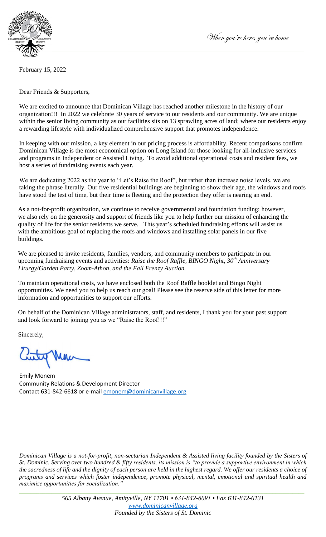

February 15, 2022

Dear Friends & Supporters,

We are excited to announce that Dominican Village has reached another milestone in the history of our organization!!! In 2022 we celebrate 30 years of service to our residents and our community. We are unique within the senior living community as our facilities sits on 13 sprawling acres of land; where our residents enjoy a rewarding lifestyle with individualized comprehensive support that promotes independence.

In keeping with our mission, a key element in our pricing process is affordability. Recent comparisons confirm Dominican Village is the most economical option on Long Island for those looking for all-inclusive services and programs in Independent or Assisted Living. To avoid additional operational costs and resident fees, we host a series of fundraising events each year.

We are dedicating 2022 as the year to "Let's Raise the Roof", but rather than increase noise levels, we are taking the phrase literally. Our five residential buildings are beginning to show their age, the windows and roofs have stood the test of time, but their time is fleeting and the protection they offer is nearing an end.

As a not-for-profit organization, we continue to receive governmental and foundation funding; however, we also rely on the generosity and support of friends like you to help further our mission of enhancing the quality of life for the senior residents we serve. This year's scheduled fundraising efforts will assist us with the ambitious goal of replacing the roofs and windows and installing solar panels in our five buildings.

We are pleased to invite residents, families, vendors, and community members to participate in our upcoming fundraising events and activities: *Raise the Roof Raffle, BINGO Night, 30th Anniversary Liturgy/Garden Party, Zoom-Athon, and the Fall Frenzy Auction.*

To maintain operational costs, we have enclosed both the Roof Raffle booklet and Bingo Night opportunities. We need you to help us reach our goal! Please see the reserve side of this letter for more information and opportunities to support our efforts.

On behalf of the Dominican Village administrators, staff, and residents, I thank you for your past support and look forward to joining you as we "Raise the Roof!!!"

Sincerely,

Emily Monem Community Relations & Development Director Contact 631-842-6618 or e-mail [emonem@dominicanvillage.org](mailto:emonem@dominicanvillage.org)

*Dominican Village is a not-for-profit, non-sectarian Independent & Assisted living facility founded by the Sisters of St. Dominic. Serving over two hundred & fifty residents, its mission is "to provide a supportive environment in which the sacredness of life and the dignity of each person are held in the highest regard. We offer our residents a choice of programs and services which foster independence, promote physical, mental, emotional and spiritual health and maximize opportunities for socialization."* 

*\_\_\_\_\_\_\_\_\_\_\_\_\_\_\_\_\_\_\_\_\_\_\_\_\_\_\_\_\_\_\_\_\_\_\_\_\_\_\_\_\_\_\_\_\_\_\_\_\_\_\_\_\_\_\_\_\_\_\_\_\_\_\_\_\_\_\_\_\_\_\_\_\_\_\_\_\_\_\_\_\_\_\_\_\_\_\_\_\_\_\_\_\_\_\_\_\_\_*